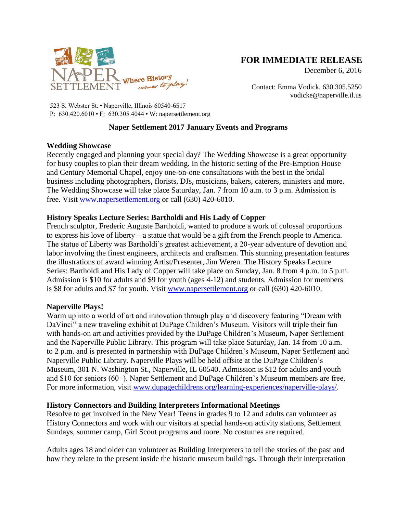

# **FOR IMMEDIATE RELEASE**

December 6, 2016

Contact: Emma Vodick, 630.305.5250 vodicke@naperville.il.us

523 S. Webster St. • Naperville, Illinois 60540-6517 P: 630.420.6010 • F: 630.305.4044 • W: napersettlement.org

## **Naper Settlement 2017 January Events and Programs**

### **Wedding Showcase**

Recently engaged and planning your special day? The Wedding Showcase is a great opportunity for busy couples to plan their dream wedding. In the historic setting of the Pre-Emption House and Century Memorial Chapel, enjoy one-on-one consultations with the best in the bridal business including photographers, florists, DJs, musicians, bakers, caterers, ministers and more. The Wedding Showcase will take place Saturday, Jan. 7 from 10 a.m. to 3 p.m. Admission is free. Visit [www.napersettlement.org](http://www.napersettlement.org/) or call (630) 420-6010.

### **History Speaks Lecture Series: Bartholdi and His Lady of Copper**

French sculptor, Frederic Auguste Bartholdi, wanted to produce a work of colossal proportions to express his love of liberty – a statue that would be a gift from the French people to America. The statue of Liberty was Bartholdi's greatest achievement, a 20-year adventure of devotion and labor involving the finest engineers, architects and craftsmen. This stunning presentation features the illustrations of award winning Artist/Presenter, Jim Weren. The History Speaks Lecture Series: Bartholdi and His Lady of Copper will take place on Sunday, Jan. 8 from 4 p.m. to 5 p.m. Admission is \$10 for adults and \$9 for youth (ages 4-12) and students. Admission for members is \$8 for adults and \$7 for youth. Visit [www.napersettlement.org](http://www.napersettlement.org/) or call (630) 420-6010.

### **Naperville Plays!**

Warm up into a world of art and innovation through play and discovery featuring "Dream with DaVinci" a new traveling exhibit at DuPage Children's Museum. Visitors will triple their fun with hands-on art and activities provided by the DuPage Children's Museum, Naper Settlement and the Naperville Public Library. This program will take place Saturday, Jan. 14 from 10 a.m. to 2 p.m. and is presented in partnership with DuPage Children's Museum, Naper Settlement and Naperville Public Library. Naperville Plays will be held offsite at the DuPage Children's Museum, 301 N. Washington St., Naperville, IL 60540. Admission is \$12 for adults and youth and \$10 for seniors (60+). Naper Settlement and DuPage Children's Museum members are free. For more information, visit [www.dupagechildrens.org/learning-experiences/naperville-plays/.](http://www.dupagechildrens.org/learning-experiences/naperville-plays/)

### **History Connectors and Building Interpreters Informational Meetings**

Resolve to get involved in the New Year! Teens in grades 9 to 12 and adults can volunteer as History Connectors and work with our visitors at special hands-on activity stations, Settlement Sundays, summer camp, Girl Scout programs and more. No costumes are required.

Adults ages 18 and older can volunteer as Building Interpreters to tell the stories of the past and how they relate to the present inside the historic museum buildings. Through their interpretation